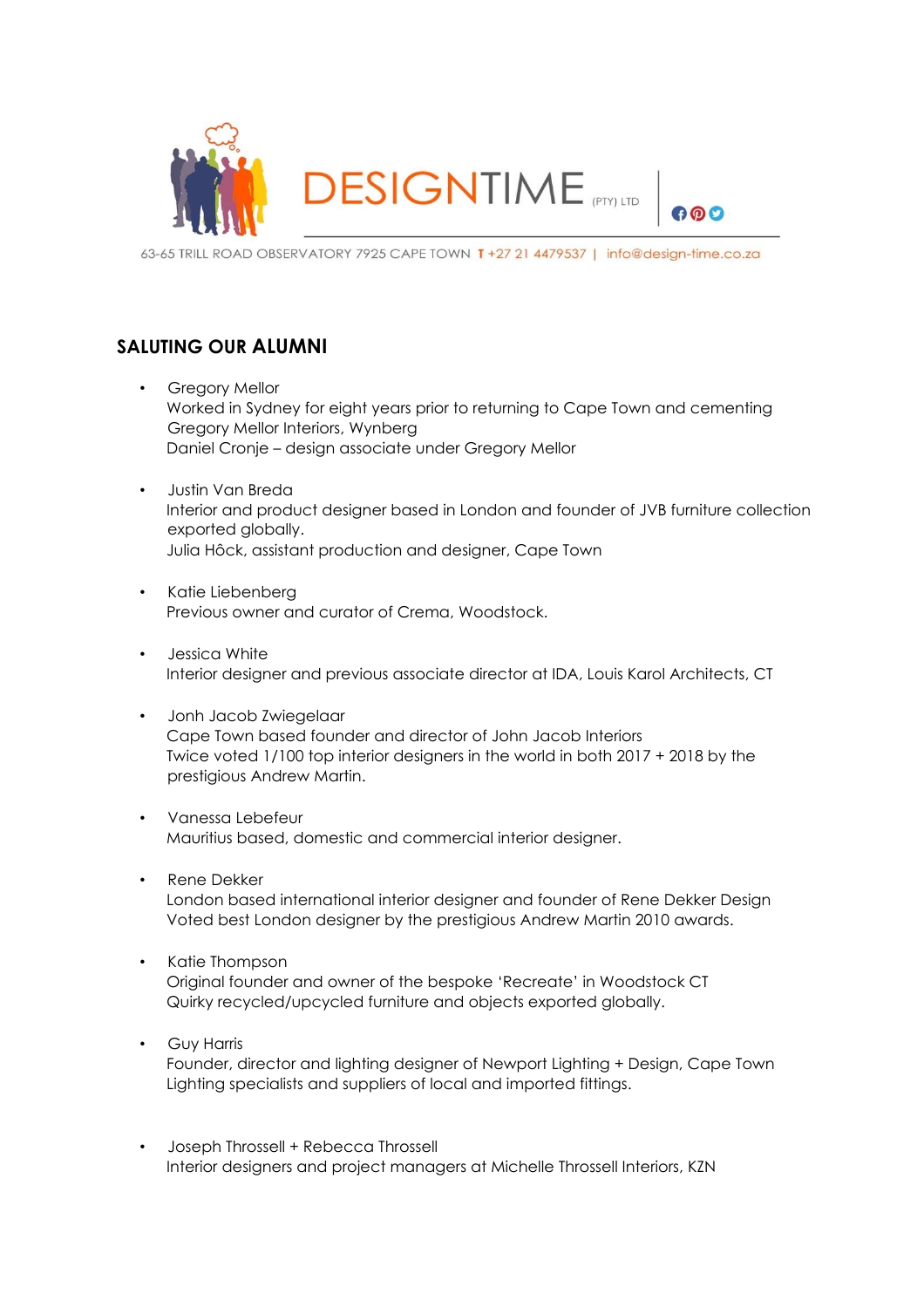

600

63-65 TRILL ROAD OBSERVATORY 7925 CAPE TOWN T +27 21 4479537 | info@desian-time.co.za

## **SALUTING OUR ALUMNI**

- Gregory Mellor Worked in Sydney for eight years prior to returning to Cape Town and cementing Gregory Mellor Interiors, Wynberg Daniel Cronje – design associate under Gregory Mellor
- Justin Van Breda Interior and product designer based in London and founder of JVB furniture collection exported globally. Julia Hôck, assistant production and designer, Cape Town
- Katie Liebenberg Previous owner and curator of Crema, Woodstock.
- Jessica White Interior designer and previous associate director at IDA, Louis Karol Architects, CT
- Jonh Jacob Zwiegelaar Cape Town based founder and director of John Jacob Interiors Twice voted 1/100 top interior designers in the world in both 2017 + 2018 by the prestigious Andrew Martin.
- Vanessa Lebefeur Mauritius based, domestic and commercial interior designer.
- Rene Dekker London based international interior designer and founder of Rene Dekker Design Voted best London designer by the prestigious Andrew Martin 2010 awards.
- Katie Thompson Original founder and owner of the bespoke 'Recreate' in Woodstock CT Quirky recycled/upcycled furniture and objects exported globally.
- Guy Harris

Founder, director and lighting designer of Newport Lighting + Design, Cape Town Lighting specialists and suppliers of local and imported fittings.

• Joseph Throssell + Rebecca Throssell Interior designers and project managers at Michelle Throssell Interiors, KZN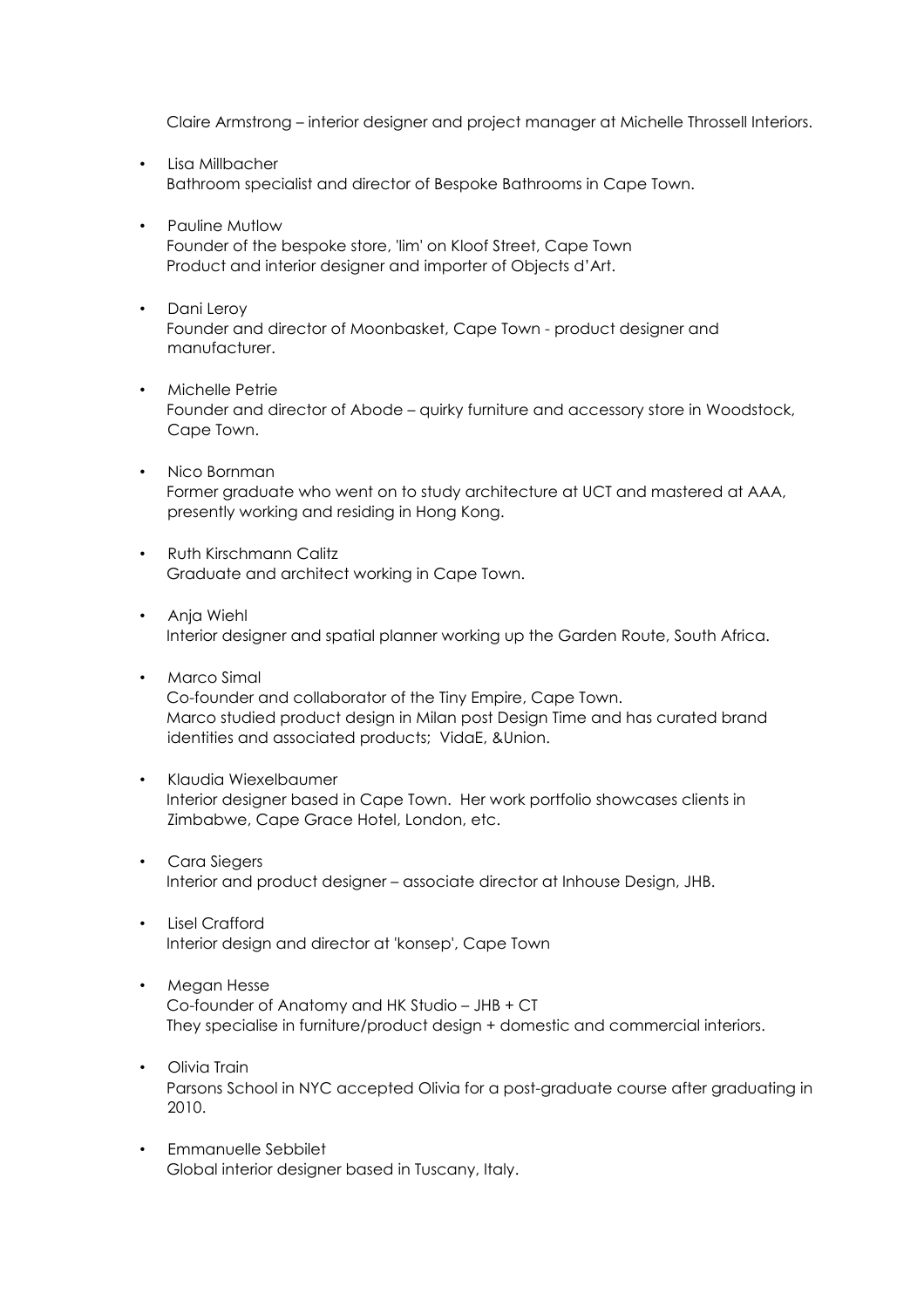Claire Armstrong – interior designer and project manager at Michelle Throssell Interiors.

- Lisa Millbacher Bathroom specialist and director of Bespoke Bathrooms in Cape Town.
- Pauline Mutlow Founder of the bespoke store, 'lim' on Kloof Street, Cape Town Product and interior designer and importer of Objects d'Art.
- Dani Leroy Founder and director of Moonbasket, Cape Town - product designer and manufacturer.
- Michelle Petrie Founder and director of Abode – quirky furniture and accessory store in Woodstock, Cape Town.
- Nico Bornman Former graduate who went on to study architecture at UCT and mastered at AAA, presently working and residing in Hong Kong.
- Ruth Kirschmann Calitz Graduate and architect working in Cape Town.
- Anja Wiehl Interior designer and spatial planner working up the Garden Route, South Africa.
- Marco Simal Co-founder and collaborator of the Tiny Empire, Cape Town. Marco studied product design in Milan post Design Time and has curated brand identities and associated products; VidaE, &Union.
- Klaudia Wiexelbaumer Interior designer based in Cape Town. Her work portfolio showcases clients in Zimbabwe, Cape Grace Hotel, London, etc.
- Cara Siegers Interior and product designer – associate director at Inhouse Design, JHB.
- Lisel Crafford Interior design and director at 'konsep', Cape Town
- Megan Hesse Co-founder of Anatomy and HK Studio – JHB + CT They specialise in furniture/product design + domestic and commercial interiors.
- Olivia Train Parsons School in NYC accepted Olivia for a post-graduate course after graduating in 2010.
- Emmanuelle Sebbilet Global interior designer based in Tuscany, Italy.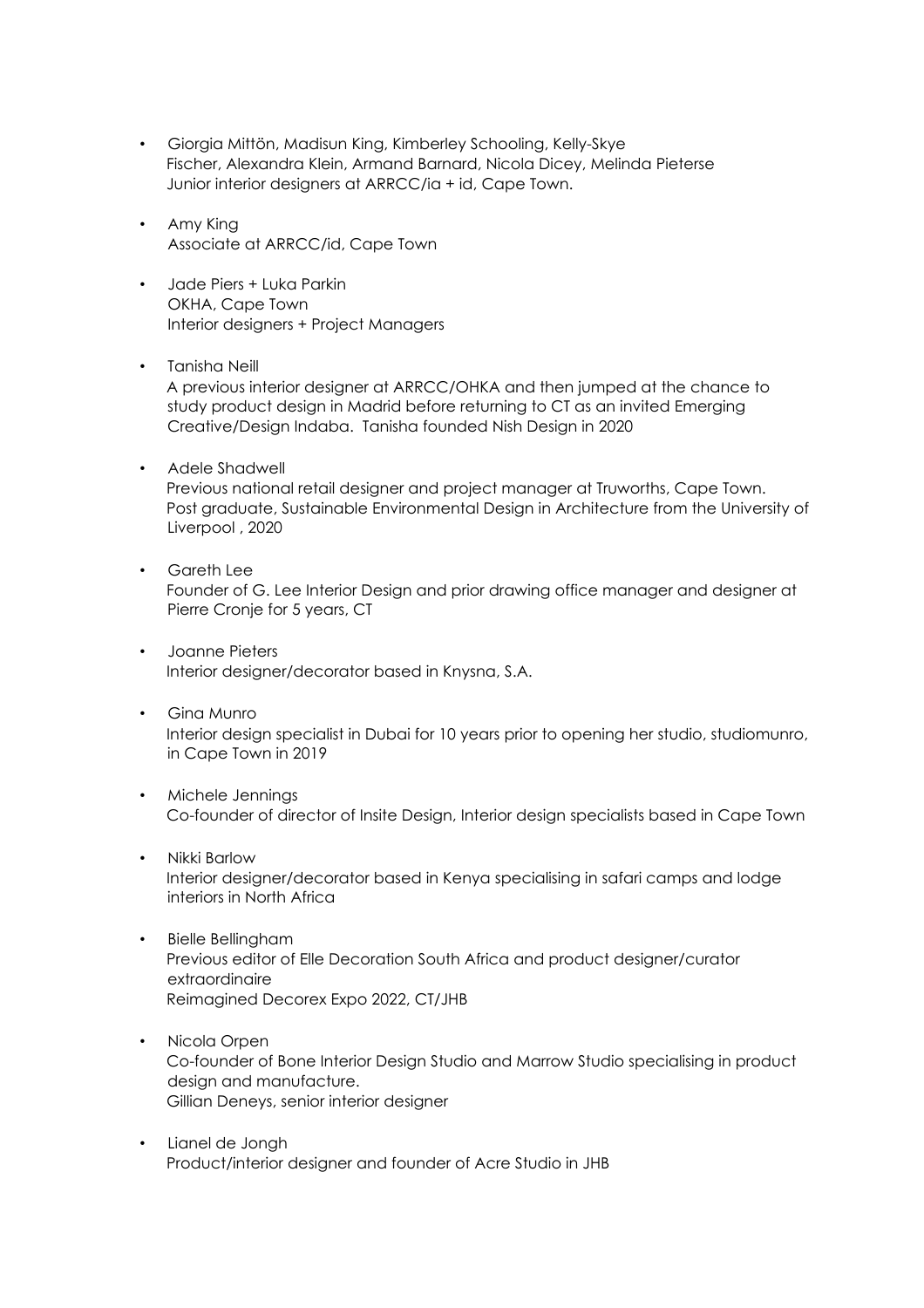- Giorgia Mittön, Madisun King, Kimberley Schooling, Kelly-Skye Fischer, Alexandra Klein, Armand Barnard, Nicola Dicey, Melinda Pieterse Junior interior designers at ARRCC/ia + id, Cape Town.
- Amy King Associate at ARRCC/id, Cape Town
- Jade Piers + Luka Parkin OKHA, Cape Town Interior designers + Project Managers
- Tanisha Neill A previous interior designer at ARRCC/OHKA and then jumped at the chance to study product design in Madrid before returning to CT as an invited Emerging Creative/Design Indaba. Tanisha founded Nish Design in 2020
- Adele Shadwell Previous national retail designer and project manager at Truworths, Cape Town. Post graduate, Sustainable Environmental Design in Architecture from the University of Liverpool , 2020
- Gareth Lee Founder of G. Lee Interior Design and prior drawing office manager and designer at Pierre Cronje for 5 years, CT
- Joanne Pieters Interior designer/decorator based in Knysna, S.A.
- Gina Munro Interior design specialist in Dubai for 10 years prior to opening her studio, studiomunro, in Cape Town in 2019
- Michele Jennings Co-founder of director of Insite Design, Interior design specialists based in Cape Town
- Nikki Barlow Interior designer/decorator based in Kenya specialising in safari camps and lodge interiors in North Africa
- Bielle Bellingham Previous editor of Elle Decoration South Africa and product designer/curator extraordinaire Reimagined Decorex Expo 2022, CT/JHB
- Nicola Orpen Co-founder of Bone Interior Design Studio and Marrow Studio specialising in product design and manufacture. Gillian Deneys, senior interior designer
- Lianel de Jongh Product/interior designer and founder of Acre Studio in JHB